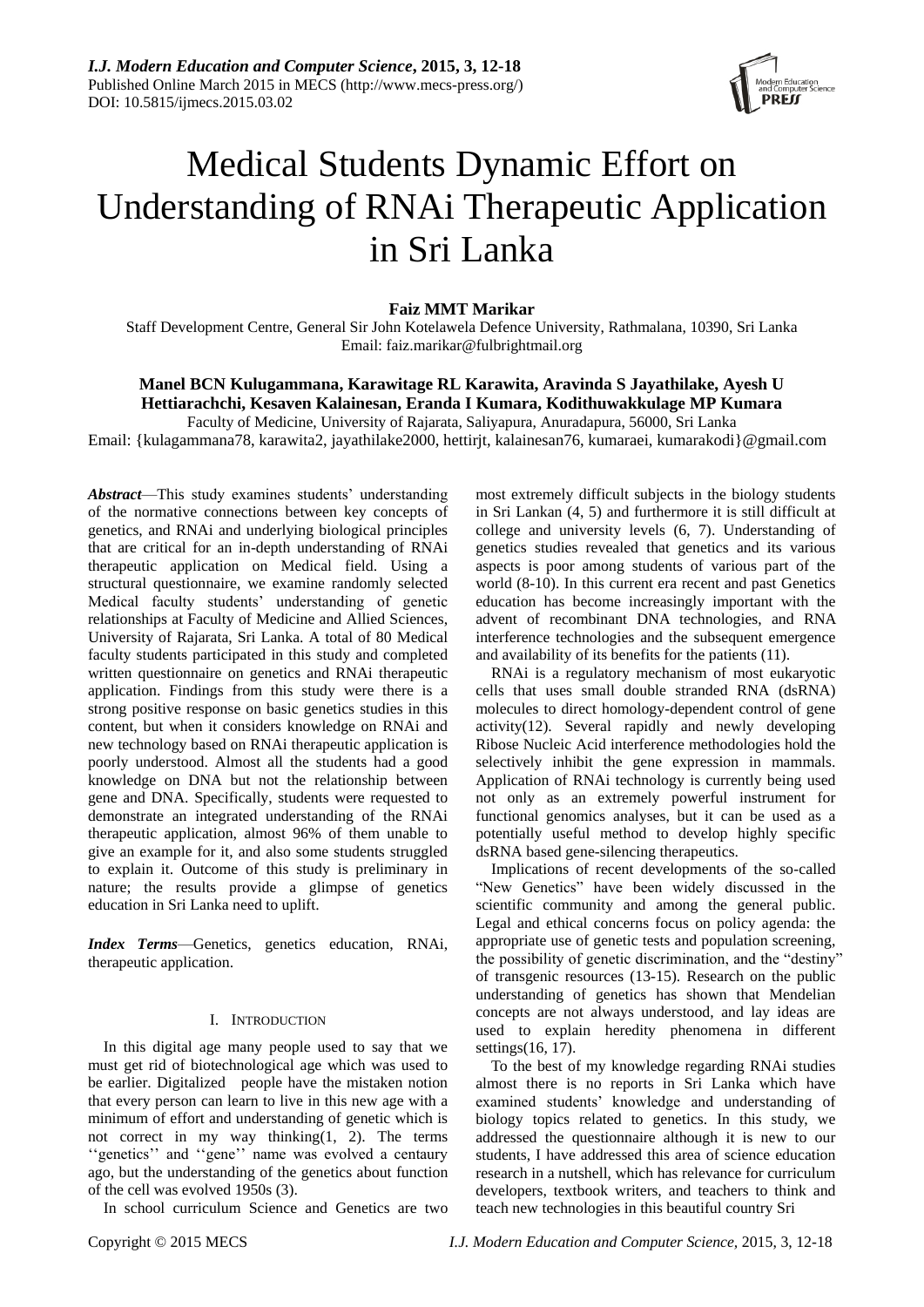

# Medical Students Dynamic Effort on Understanding of RNAi Therapeutic Application in Sri Lanka

# **Faiz MMT Marikar**

Staff Development Centre, General Sir John Kotelawela Defence University, Rathmalana, 10390, Sri Lanka Email: faiz.marikar@fulbrightmail.org

# **Manel BCN Kulugammana, Karawitage RL Karawita, Aravinda S Jayathilake, Ayesh U Hettiarachchi, Kesaven Kalainesan, Eranda I Kumara, Kodithuwakkulage MP Kumara**

Faculty of Medicine, University of Rajarata, Saliyapura, Anuradapura, 56000, Sri Lanka Email: {kulagammana78, karawita2, jayathilake2000, hettirjt, kalainesan76, kumaraei, kumarakodi}@gmail.com

*Abstract*—This study examines students' understanding of the normative connections between key concepts of genetics, and RNAi and underlying biological principles that are critical for an in-depth understanding of RNAi therapeutic application on Medical field. Using a structural questionnaire, we examine randomly selected Medical faculty students' understanding of genetic relationships at Faculty of Medicine and Allied Sciences, University of Rajarata, Sri Lanka. A total of 80 Medical faculty students participated in this study and completed written questionnaire on genetics and RNAi therapeutic application. Findings from this study were there is a strong positive response on basic genetics studies in this content, but when it considers knowledge on RNAi and new technology based on RNAi therapeutic application is poorly understood. Almost all the students had a good knowledge on DNA but not the relationship between gene and DNA. Specifically, students were requested to demonstrate an integrated understanding of the RNAi therapeutic application, almost 96% of them unable to give an example for it, and also some students struggled to explain it. Outcome of this study is preliminary in nature; the results provide a glimpse of genetics education in Sri Lanka need to uplift.

*Index Terms*—Genetics, genetics education, RNAi, therapeutic application.

#### I. INTRODUCTION

In this digital age many people used to say that we must get rid of biotechnological age which was used to be earlier. Digitalized people have the mistaken notion that every person can learn to live in this new age with a minimum of effort and understanding of genetic which is not correct in my way thinking(1, 2). The terms "genetics" and "gene" name was evolved a centaury ago, but the understanding of the genetics about function of the cell was evolved 1950s (3).

In school curriculum Science and Genetics are two

most extremely difficult subjects in the biology students in Sri Lankan (4, 5) and furthermore it is still difficult at college and university levels (6, 7). Understanding of genetics studies revealed that genetics and its various aspects is poor among students of various part of the world (8-10). In this current era recent and past Genetics education has become increasingly important with the advent of recombinant DNA technologies, and RNA interference technologies and the subsequent emergence and availability of its benefits for the patients (11).

RNAi is a regulatory mechanism of most eukaryotic cells that uses small double stranded RNA (dsRNA) molecules to direct homology-dependent control of gene activity(12). Several rapidly and newly developing Ribose Nucleic Acid interference methodologies hold the selectively inhibit the gene expression in mammals. Application of RNAi technology is currently being used not only as an extremely powerful instrument for functional genomics analyses, but it can be used as a potentially useful method to develop highly specific dsRNA based gene-silencing therapeutics.

Implications of recent developments of the so-called "New Genetics" have been widely discussed in the scientific community and among the general public. Legal and ethical concerns focus on policy agenda: the appropriate use of genetic tests and population screening, the possibility of genetic discrimination, and the "destiny" of transgenic resources (13-15). Research on the public understanding of genetics has shown that Mendelian concepts are not always understood, and lay ideas are used to explain heredity phenomena in different settings(16, 17).

To the best of my knowledge regarding RNAi studies almost there is no reports in Sri Lanka which have examined students' knowledge and understanding of biology topics related to genetics. In this study, we addressed the questionnaire although it is new to our students, I have addressed this area of science education research in a nutshell, which has relevance for curriculum developers, textbook writers, and teachers to think and teach new technologies in this beautiful country Sri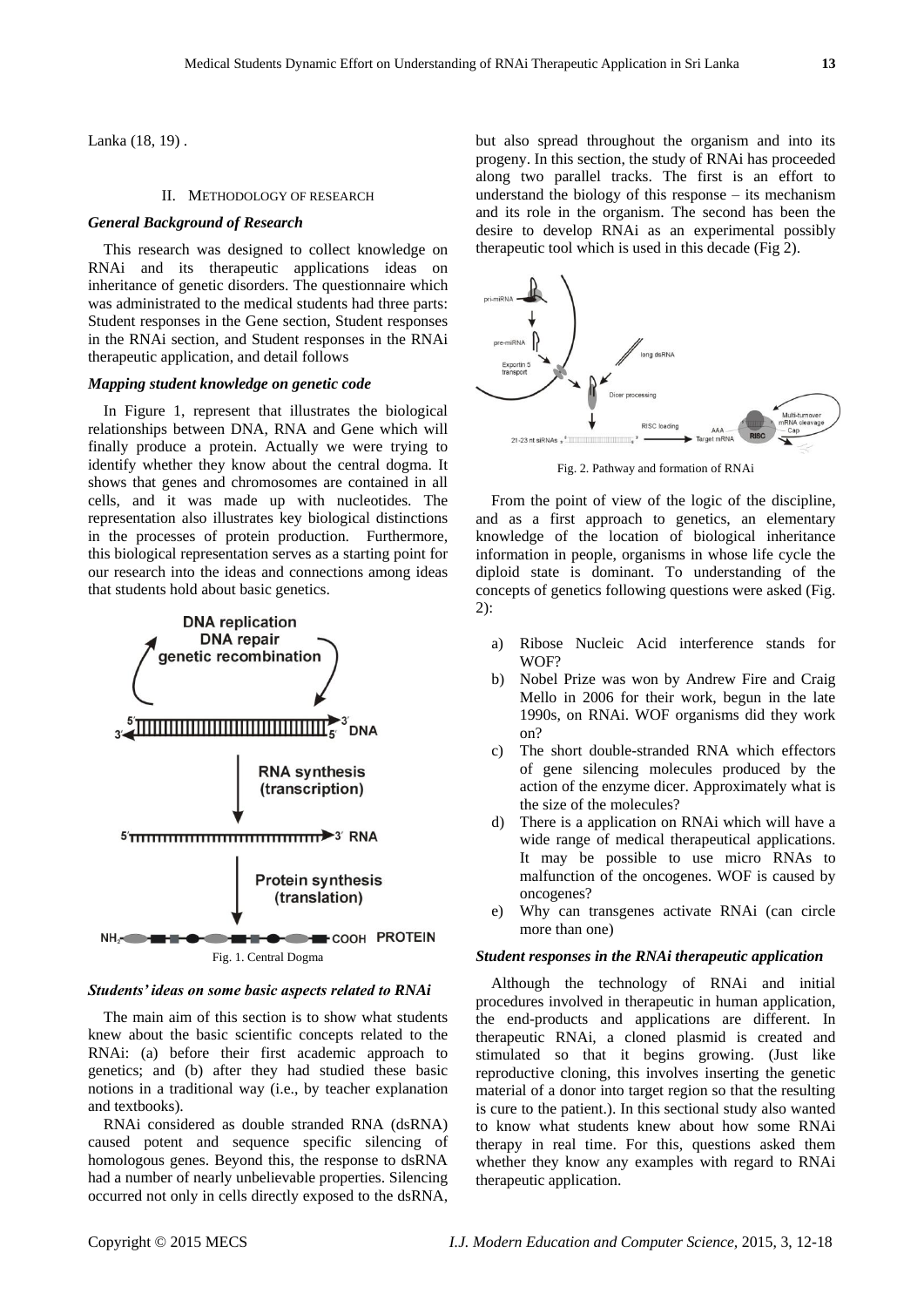Lanka (18, 19) .

#### II. METHODOLOGY OF RESEARCH

#### *General Background of Research*

This research was designed to collect knowledge on RNAi and its therapeutic applications ideas on inheritance of genetic disorders. The questionnaire which was administrated to the medical students had three parts: Student responses in the Gene section, Student responses in the RNAi section, and Student responses in the RNAi therapeutic application, and detail follows

#### *Mapping student knowledge on genetic code*

In Figure 1, represent that illustrates the biological relationships between DNA, RNA and Gene which will finally produce a protein. Actually we were trying to identify whether they know about the central dogma. It shows that genes and chromosomes are contained in all cells, and it was made up with nucleotides. The representation also illustrates key biological distinctions in the processes of protein production. Furthermore, this biological representation serves as a starting point for our research into the ideas and connections among ideas that students hold about basic genetics.



#### *Students' ideas on some basic aspects related to RNAi*

The main aim of this section is to show what students knew about the basic scientific concepts related to the RNAi: (a) before their first academic approach to genetics; and (b) after they had studied these basic notions in a traditional way (i.e., by teacher explanation and textbooks).

RNAi considered as double stranded RNA (dsRNA) caused potent and sequence specific silencing of homologous genes. Beyond this, the response to dsRNA had a number of nearly unbelievable properties. Silencing occurred not only in cells directly exposed to the dsRNA,

but also spread throughout the organism and into its progeny. In this section, the study of RNAi has proceeded along two parallel tracks. The first is an effort to understand the biology of this response – its mechanism and its role in the organism. The second has been the desire to develop RNAi as an experimental possibly therapeutic tool which is used in this decade (Fig 2).



Fig. 2. Pathway and formation of RNAi

From the point of view of the logic of the discipline, and as a first approach to genetics, an elementary knowledge of the location of biological inheritance information in people, organisms in whose life cycle the diploid state is dominant. To understanding of the concepts of genetics following questions were asked (Fig. 2):

- a) Ribose Nucleic Acid interference stands for WOF?
- b) Nobel Prize was won by Andrew Fire and Craig Mello in 2006 for their work, begun in the late 1990s, on RNAi. WOF organisms did they work on?
- c) The short double-stranded RNA which effectors of gene silencing molecules produced by the action of the enzyme dicer. Approximately what is the size of the molecules?
- d) There is a application on RNAi which will have a wide range of medical therapeutical applications. It may be possible to use micro RNAs to malfunction of the oncogenes. WOF is caused by oncogenes?
- e) Why can transgenes activate RNAi (can circle more than one)

#### *Student responses in the RNAi therapeutic application*

Although the technology of RNAi and initial procedures involved in therapeutic in human application, the end-products and applications are different. In therapeutic RNAi, a cloned plasmid is created and stimulated so that it begins growing. (Just like reproductive cloning, this involves inserting the genetic material of a donor into target region so that the resulting is cure to the patient.). In this sectional study also wanted to know what students knew about how some RNAi therapy in real time. For this, questions asked them whether they know any examples with regard to RNAi therapeutic application.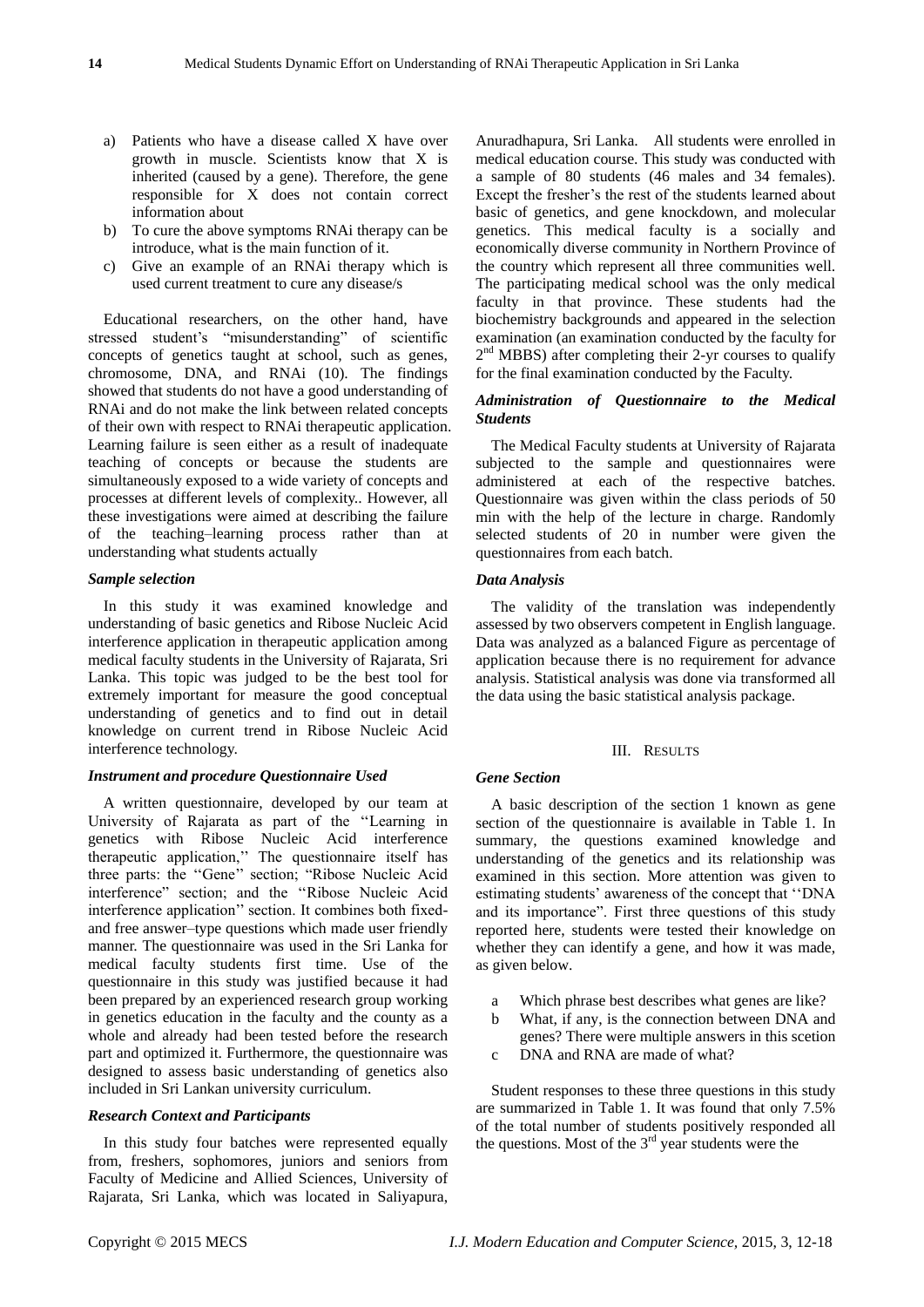- a) Patients who have a disease called X have over growth in muscle. Scientists know that X is inherited (caused by a gene). Therefore, the gene responsible for X does not contain correct information about
- b) To cure the above symptoms RNAi therapy can be introduce, what is the main function of it.
- c) Give an example of an RNAi therapy which is used current treatment to cure any disease/s

Educational researchers, on the other hand, have stressed student's "misunderstanding" of scientific concepts of genetics taught at school, such as genes, chromosome, DNA, and RNAi (10). The findings showed that students do not have a good understanding of RNAi and do not make the link between related concepts of their own with respect to RNAi therapeutic application. Learning failure is seen either as a result of inadequate teaching of concepts or because the students are simultaneously exposed to a wide variety of concepts and processes at different levels of complexity.. However, all these investigations were aimed at describing the failure of the teaching–learning process rather than at understanding what students actually

#### *Sample selection*

In this study it was examined knowledge and understanding of basic genetics and Ribose Nucleic Acid interference application in therapeutic application among medical faculty students in the University of Rajarata, Sri Lanka. This topic was judged to be the best tool for extremely important for measure the good conceptual understanding of genetics and to find out in detail knowledge on current trend in Ribose Nucleic Acid interference technology.

# *Instrument and procedure Questionnaire Used*

A written questionnaire, developed by our team at University of Rajarata as part of the "Learning in genetics with Ribose Nucleic Acid interference therapeutic application,'' The questionnaire itself has three parts: the "Gene" section; "Ribose Nucleic Acid interference" section; and the "Ribose Nucleic Acid interference application'' section. It combines both fixedand free answer–type questions which made user friendly manner. The questionnaire was used in the Sri Lanka for medical faculty students first time. Use of the questionnaire in this study was justified because it had been prepared by an experienced research group working in genetics education in the faculty and the county as a whole and already had been tested before the research part and optimized it. Furthermore, the questionnaire was designed to assess basic understanding of genetics also included in Sri Lankan university curriculum.

#### *Research Context and Participants*

In this study four batches were represented equally from, freshers, sophomores, juniors and seniors from Faculty of Medicine and Allied Sciences, University of Rajarata, Sri Lanka, which was located in Saliyapura,

Anuradhapura, Sri Lanka. All students were enrolled in medical education course. This study was conducted with a sample of 80 students (46 males and 34 females). Except the fresher's the rest of the students learned about basic of genetics, and gene knockdown, and molecular genetics. This medical faculty is a socially and economically diverse community in Northern Province of the country which represent all three communities well. The participating medical school was the only medical faculty in that province. These students had the biochemistry backgrounds and appeared in the selection examination (an examination conducted by the faculty for 2<sup>nd</sup> MBBS) after completing their 2-yr courses to qualify for the final examination conducted by the Faculty.

#### *Administration of Questionnaire to the Medical Students*

The Medical Faculty students at University of Rajarata subjected to the sample and questionnaires were administered at each of the respective batches. Questionnaire was given within the class periods of 50 min with the help of the lecture in charge. Randomly selected students of 20 in number were given the questionnaires from each batch.

#### *Data Analysis*

The validity of the translation was independently assessed by two observers competent in English language. Data was analyzed as a balanced Figure as percentage of application because there is no requirement for advance analysis. Statistical analysis was done via transformed all the data using the basic statistical analysis package.

#### III. RESULTS

#### *Gene Section*

A basic description of the section 1 known as gene section of the questionnaire is available in Table 1. In summary, the questions examined knowledge and understanding of the genetics and its relationship was examined in this section. More attention was given to estimating students' awareness of the concept that "DNA" and its importance". First three questions of this study reported here, students were tested their knowledge on whether they can identify a gene, and how it was made, as given below.

- a Which phrase best describes what genes are like?
- b What, if any, is the connection between DNA and
- genes? There were multiple answers in this scetion c DNA and RNA are made of what?

Student responses to these three questions in this study are summarized in Table 1. It was found that only 7.5% of the total number of students positively responded all the questions. Most of the  $3<sup>rd</sup>$  year students were the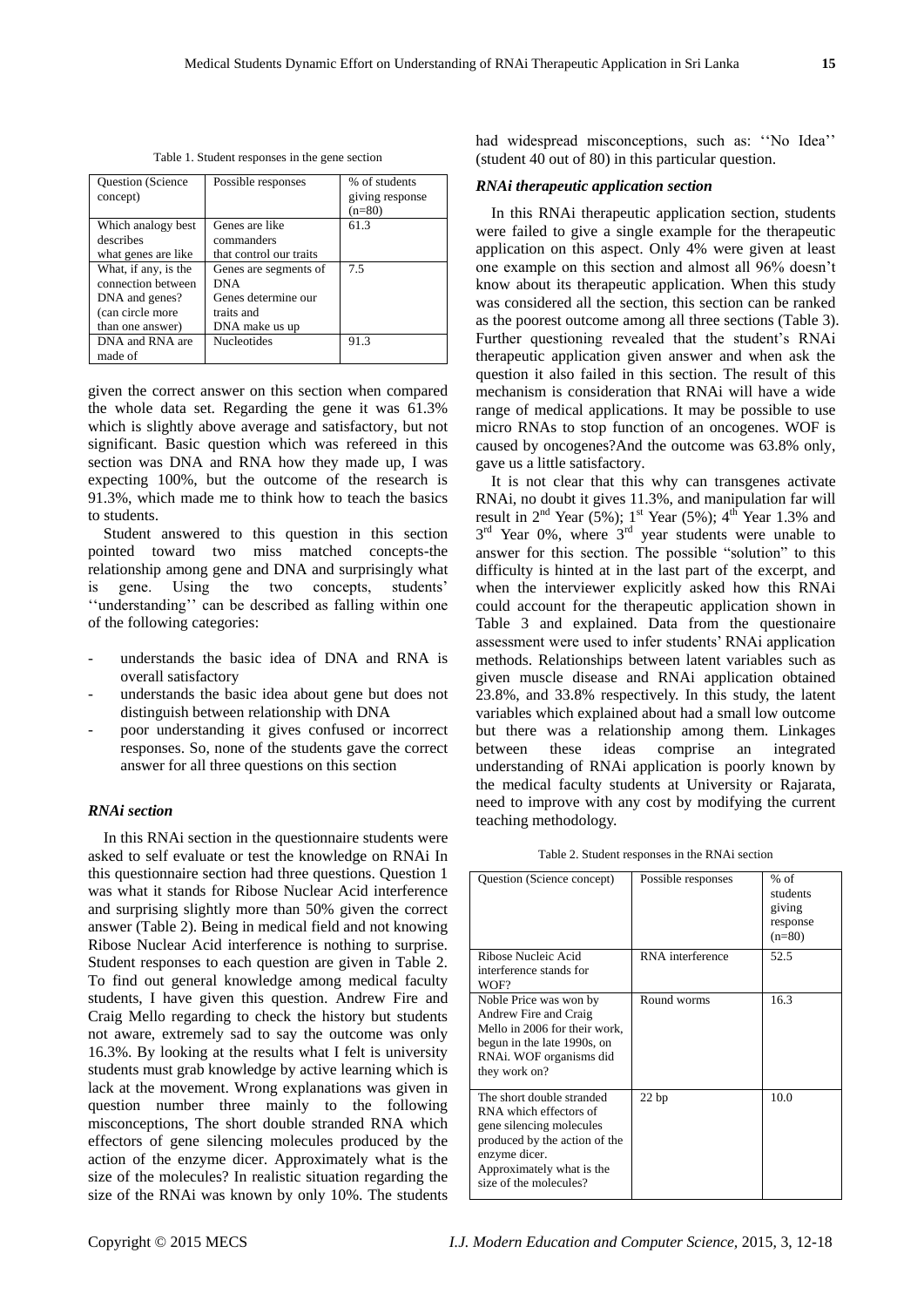| Table 1. Student responses in the gene section |  |  |
|------------------------------------------------|--|--|
|------------------------------------------------|--|--|

| Question (Science<br>concept) | Possible responses      | % of students<br>giving response |
|-------------------------------|-------------------------|----------------------------------|
|                               |                         | $(n=80)$                         |
| Which analogy best            | Genes are like          | 61.3                             |
| describes                     | commanders              |                                  |
| what genes are like           | that control our traits |                                  |
| What, if any, is the          | Genes are segments of   | 7.5                              |
| connection between            | <b>DNA</b>              |                                  |
| DNA and genes?                | Genes determine our     |                                  |
| (can circle more              | traits and              |                                  |
| than one answer)              | DNA make us up          |                                  |
| DNA and RNA are               | <b>Nucleotides</b>      | 91.3                             |
| made of                       |                         |                                  |

given the correct answer on this section when compared the whole data set. Regarding the gene it was 61.3% which is slightly above average and satisfactory, but not significant. Basic question which was refereed in this section was DNA and RNA how they made up, I was expecting 100%, but the outcome of the research is 91.3%, which made me to think how to teach the basics to students.

Student answered to this question in this section pointed toward two miss matched concepts-the relationship among gene and DNA and surprisingly what is gene. Using the two concepts, students' ‗‗understanding'' can be described as falling within one of the following categories:

- understands the basic idea of DNA and RNA is overall satisfactory
- understands the basic idea about gene but does not distinguish between relationship with DNA
- poor understanding it gives confused or incorrect responses. So, none of the students gave the correct answer for all three questions on this section

## *RNAi section*

In this RNAi section in the questionnaire students were asked to self evaluate or test the knowledge on RNAi In this questionnaire section had three questions. Question 1 was what it stands for Ribose Nuclear Acid interference and surprising slightly more than 50% given the correct answer (Table 2). Being in medical field and not knowing Ribose Nuclear Acid interference is nothing to surprise. Student responses to each question are given in Table 2. To find out general knowledge among medical faculty students, I have given this question. Andrew Fire and Craig Mello regarding to check the history but students not aware, extremely sad to say the outcome was only 16.3%. By looking at the results what I felt is university students must grab knowledge by active learning which is lack at the movement. Wrong explanations was given in question number three mainly to the following misconceptions, The short double stranded RNA which effectors of gene silencing molecules produced by the action of the enzyme dicer. Approximately what is the size of the molecules? In realistic situation regarding the size of the RNAi was known by only 10%. The students

had widespread misconceptions, such as: "No Idea" (student 40 out of 80) in this particular question.

#### *RNAi therapeutic application section*

In this RNAi therapeutic application section, students were failed to give a single example for the therapeutic application on this aspect. Only 4% were given at least one example on this section and almost all 96% doesn't know about its therapeutic application. When this study was considered all the section, this section can be ranked as the poorest outcome among all three sections (Table 3). Further questioning revealed that the student's RNAi therapeutic application given answer and when ask the question it also failed in this section. The result of this mechanism is consideration that RNAi will have a wide range of medical applications. It may be possible to use micro RNAs to stop function of an oncogenes. WOF is caused by oncogenes?And the outcome was 63.8% only, gave us a little satisfactory.

It is not clear that this why can transgenes activate RNAi, no doubt it gives 11.3%, and manipulation far will result in  $2<sup>nd</sup>$  Year (5%);  $1<sup>st</sup>$  Year (5%);  $4<sup>th</sup>$  Year 1.3% and  $3<sup>rd</sup>$  Year 0%, where  $3<sup>rd</sup>$  year students were unable to answer for this section. The possible "solution" to this difficulty is hinted at in the last part of the excerpt, and when the interviewer explicitly asked how this RNAi could account for the therapeutic application shown in Table 3 and explained. Data from the questionaire assessment were used to infer students' RNAi application methods. Relationships between latent variables such as given muscle disease and RNAi application obtained 23.8%, and 33.8% respectively. In this study, the latent variables which explained about had a small low outcome but there was a relationship among them. Linkages between these ideas comprise an integrated understanding of RNAi application is poorly known by the medical faculty students at University or Rajarata, need to improve with any cost by modifying the current teaching methodology.

Table 2. Student responses in the RNAi section

| Question (Science concept)                                                                                                                                                               | Possible responses | $%$ of<br>students<br>giving<br>response<br>$(n=80)$ |
|------------------------------------------------------------------------------------------------------------------------------------------------------------------------------------------|--------------------|------------------------------------------------------|
| Ribose Nucleic Acid<br>interference stands for<br>WOF?                                                                                                                                   | RNA interference   | 52.5                                                 |
| Noble Price was won by<br>Andrew Fire and Craig<br>Mello in 2006 for their work,<br>begun in the late 1990s, on<br>RNAi. WOF organisms did<br>they work on?                              | Round worms        | 16.3                                                 |
| The short double stranded<br>RNA which effectors of<br>gene silencing molecules<br>produced by the action of the<br>enzyme dicer.<br>Approximately what is the<br>size of the molecules? | 22bp               | 10.0                                                 |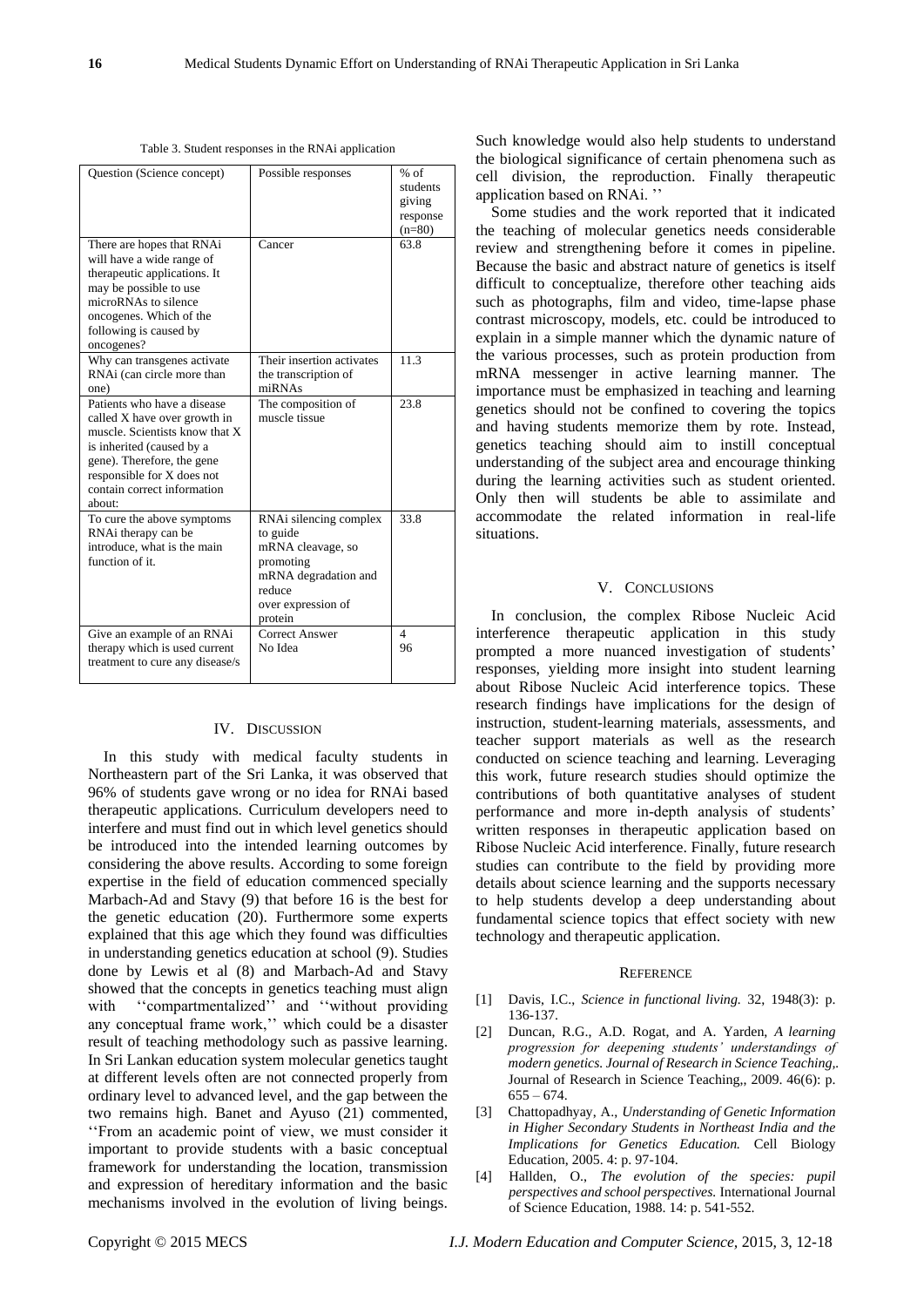Table 3. Student responses in the RNAi application

| Question (Science concept)                                                                                                                                                                                                      | Possible responses                                                                                                                      | % of<br>students<br>giving<br>response<br>$(n=80)$ |
|---------------------------------------------------------------------------------------------------------------------------------------------------------------------------------------------------------------------------------|-----------------------------------------------------------------------------------------------------------------------------------------|----------------------------------------------------|
| There are hopes that RNAi<br>will have a wide range of<br>therapeutic applications. It<br>may be possible to use<br>microRNAs to silence<br>oncogenes. Which of the<br>following is caused by<br>oncogenes?                     | Cancer                                                                                                                                  | 63.8                                               |
| Why can transgenes activate<br>RNAi (can circle more than<br>one)                                                                                                                                                               | Their insertion activates<br>the transcription of<br>miRNAs                                                                             | 11.3                                               |
| Patients who have a disease<br>called X have over growth in<br>muscle. Scientists know that X<br>is inherited (caused by a<br>gene). Therefore, the gene<br>responsible for X does not<br>contain correct information<br>about: | The composition of<br>muscle tissue                                                                                                     | 23.8                                               |
| To cure the above symptoms<br>RNAi therapy can be<br>introduce, what is the main<br>function of it.                                                                                                                             | RNAi silencing complex<br>to guide<br>mRNA cleavage, so<br>promoting<br>mRNA degradation and<br>reduce<br>over expression of<br>protein | 33.8                                               |
| Give an example of an RNAi<br>therapy which is used current<br>treatment to cure any disease/s                                                                                                                                  | Correct Answer<br>No Idea                                                                                                               | 4<br>96                                            |

#### IV. DISCUSSION

In this study with medical faculty students in Northeastern part of the Sri Lanka, it was observed that 96% of students gave wrong or no idea for RNAi based therapeutic applications. Curriculum developers need to interfere and must find out in which level genetics should be introduced into the intended learning outcomes by considering the above results. According to some foreign expertise in the field of education commenced specially Marbach-Ad and Stavy (9) that before 16 is the best for the genetic education (20). Furthermore some experts explained that this age which they found was difficulties in understanding genetics education at school (9). Studies done by Lewis et al (8) and Marbach-Ad and Stavy showed that the concepts in genetics teaching must align with "compartmentalized" and "without providing any conceptual frame work,'' which could be a disaster result of teaching methodology such as passive learning. In Sri Lankan education system molecular genetics taught at different levels often are not connected properly from ordinary level to advanced level, and the gap between the two remains high. Banet and Ayuso (21) commented, ‗‗From an academic point of view, we must consider it important to provide students with a basic conceptual framework for understanding the location, transmission and expression of hereditary information and the basic mechanisms involved in the evolution of living beings.

Such knowledge would also help students to understand the biological significance of certain phenomena such as cell division, the reproduction. Finally therapeutic application based on RNAi. ''

Some studies and the work reported that it indicated the teaching of molecular genetics needs considerable review and strengthening before it comes in pipeline. Because the basic and abstract nature of genetics is itself difficult to conceptualize, therefore other teaching aids such as photographs, film and video, time-lapse phase contrast microscopy, models, etc. could be introduced to explain in a simple manner which the dynamic nature of the various processes, such as protein production from mRNA messenger in active learning manner. The importance must be emphasized in teaching and learning genetics should not be confined to covering the topics and having students memorize them by rote. Instead, genetics teaching should aim to instill conceptual understanding of the subject area and encourage thinking during the learning activities such as student oriented. Only then will students be able to assimilate and accommodate the related information in real-life situations.

#### V. CONCLUSIONS

In conclusion, the complex Ribose Nucleic Acid interference therapeutic application in this study prompted a more nuanced investigation of students' responses, yielding more insight into student learning about Ribose Nucleic Acid interference topics. These research findings have implications for the design of instruction, student-learning materials, assessments, and teacher support materials as well as the research conducted on science teaching and learning. Leveraging this work, future research studies should optimize the contributions of both quantitative analyses of student performance and more in-depth analysis of students' written responses in therapeutic application based on Ribose Nucleic Acid interference. Finally, future research studies can contribute to the field by providing more details about science learning and the supports necessary to help students develop a deep understanding about fundamental science topics that effect society with new technology and therapeutic application.

#### **REFERENCE**

- [1] Davis, I.C., *Science in functional living.* 32, 1948(3): p. 136-137.
- [2] Duncan, R.G., A.D. Rogat, and A. Yarden, *A learning progression for deepening students' understandings of modern genetics. Journal of Research in Science Teaching,.* Journal of Research in Science Teaching,, 2009. 46(6): p.  $655 - 674.$
- [3] Chattopadhyay, A., *Understanding of Genetic Information in Higher Secondary Students in Northeast India and the Implications for Genetics Education.* Cell Biology Education, 2005. 4: p. 97-104.
- [4] Hallden, O., *The evolution of the species: pupil perspectives and school perspectives.* International Journal of Science Education, 1988. 14: p. 541-552.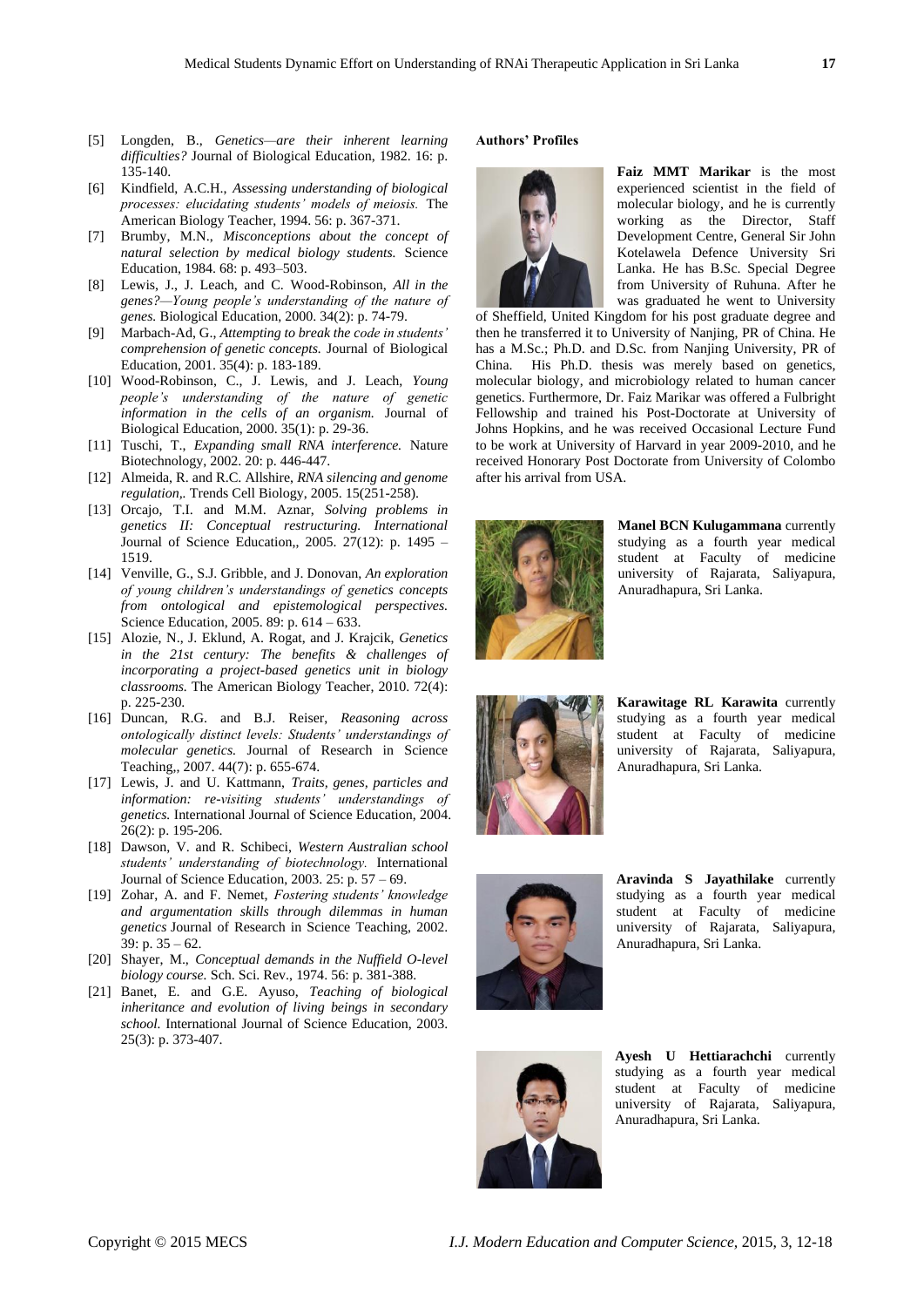- [5] Longden, B., *Genetics—are their inherent learning difficulties?* Journal of Biological Education, 1982. 16: p. 135-140.
- [6] Kindfield, A.C.H., *Assessing understanding of biological processes: elucidating students' models of meiosis.* The American Biology Teacher, 1994. 56: p. 367-371.
- [7] Brumby, M.N., *Misconceptions about the concept of natural selection by medical biology students.* Science Education, 1984. 68: p. 493–503.
- [8] Lewis, J., J. Leach, and C. Wood-Robinson, *All in the genes?—Young people's understanding of the nature of genes.* Biological Education, 2000. 34(2): p. 74-79.
- [9] Marbach-Ad, G., *Attempting to break the code in students' comprehension of genetic concepts.* Journal of Biological Education, 2001. 35(4): p. 183-189.
- [10] Wood-Robinson, C., J. Lewis, and J. Leach, *Young people's understanding of the nature of genetic information in the cells of an organism.* Journal of Biological Education, 2000. 35(1): p. 29-36.
- [11] Tuschi, T., *Expanding small RNA interference.* Nature Biotechnology, 2002. 20: p. 446-447.
- [12] Almeida, R. and R.C. Allshire, *RNA silencing and genome regulation,.* Trends Cell Biology, 2005. 15(251-258).
- [13] Orcajo, T.I. and M.M. Aznar, *Solving problems in genetics II: Conceptual restructuring. International*  Journal of Science Education,, 2005. 27(12): p. 1495 – 1519.
- [14] Venville, G., S.J. Gribble, and J. Donovan, *An exploration of young children's understandings of genetics concepts from ontological and epistemological perspectives.* Science Education, 2005. 89: p. 614 – 633.
- [15] Alozie, N., J. Eklund, A. Rogat, and J. Krajcik, *Genetics in the 21st century: The benefits & challenges of incorporating a project-based genetics unit in biology classrooms.* The American Biology Teacher, 2010. 72(4): p. 225-230.
- [16] Duncan, R.G. and B.J. Reiser, *Reasoning across ontologically distinct levels: Students' understandings of molecular genetics.* Journal of Research in Science Teaching,, 2007. 44(7): p. 655-674.
- [17] Lewis, J. and U. Kattmann, *Traits, genes, particles and information: re-visiting students' understandings of genetics.* International Journal of Science Education, 2004. 26(2): p. 195-206.
- [18] Dawson, V. and R. Schibeci, *Western Australian school students' understanding of biotechnology.* International Journal of Science Education, 2003. 25: p. 57 – 69.
- [19] Zohar, A. and F. Nemet, *Fostering students' knowledge and argumentation skills through dilemmas in human genetics* Journal of Research in Science Teaching, 2002. 39: p.  $35 - 62$ .
- [20] Shayer, M., *Conceptual demands in the Nuffield O-level biology course.* Sch. Sci. Rev., 1974. 56: p. 381-388.
- [21] Banet, E. and G.E. Ayuso, *Teaching of biological inheritance and evolution of living beings in secondary school.* International Journal of Science Education, 2003. 25(3): p. 373-407.

## **Authors' Profiles**



**Faiz MMT Marikar** is the most experienced scientist in the field of molecular biology, and he is currently working as the Director, Staff Development Centre, General Sir John Kotelawela Defence University Sri Lanka. He has B.Sc. Special Degree from University of Ruhuna. After he was graduated he went to University

of Sheffield, United Kingdom for his post graduate degree and then he transferred it to University of Nanjing, PR of China. He has a M.Sc.; Ph.D. and D.Sc. from Nanjing University, PR of China. His Ph.D. thesis was merely based on genetics, molecular biology, and microbiology related to human cancer genetics. Furthermore, Dr. Faiz Marikar was offered a Fulbright Fellowship and trained his Post-Doctorate at University of Johns Hopkins, and he was received Occasional Lecture Fund to be work at University of Harvard in year 2009-2010, and he received Honorary Post Doctorate from University of Colombo after his arrival from USA.



**Manel BCN Kulugammana** currently studying as a fourth year medical student at Faculty of medicine university of Rajarata, Saliyapura, Anuradhapura, Sri Lanka.



**Karawitage RL Karawita** currently studying as a fourth year medical student at Faculty of medicine university of Rajarata, Saliyapura, Anuradhapura, Sri Lanka.



**Aravinda S Jayathilake** currently studying as a fourth year medical student at Faculty of medicine university of Rajarata, Saliyapura, Anuradhapura, Sri Lanka.



**Ayesh U Hettiarachchi** currently studying as a fourth year medical student at Faculty of medicine university of Rajarata, Saliyapura, Anuradhapura, Sri Lanka.